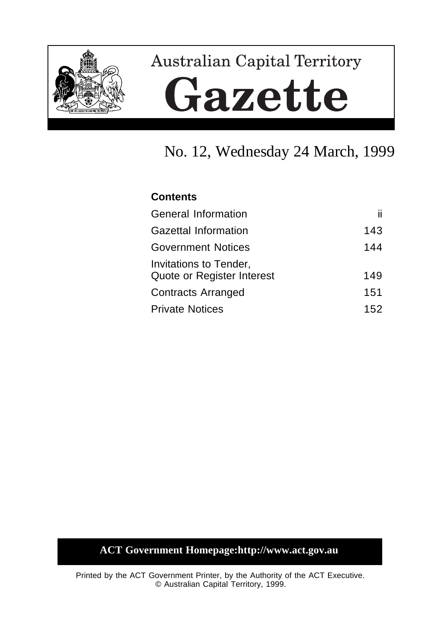

# **Australian Capital Territory** Gazette

# No. 12, Wednesday 24 March, 1999

## **Contents**

| <b>General Information</b>                           | ii. |
|------------------------------------------------------|-----|
| <b>Gazettal Information</b>                          | 143 |
| <b>Government Notices</b>                            | 144 |
| Invitations to Tender,<br>Quote or Register Interest | 149 |
| <b>Contracts Arranged</b>                            | 151 |
| <b>Private Notices</b>                               | 152 |

# **ACT Government Homepage:http://www.act.gov.au**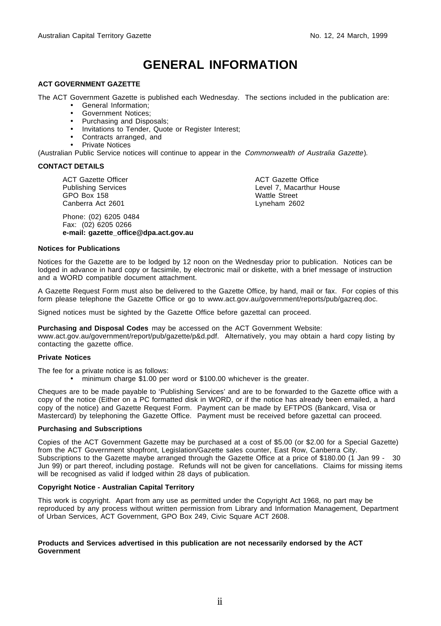# **GENERAL INFORMATION**

#### **ACT GOVERNMENT GAZETTE**

The ACT Government Gazette is published each Wednesday. The sections included in the publication are:

- General Information;
- Government Notices;
- Purchasing and Disposals;
- Invitations to Tender, Quote or Register Interest;
- Contracts arranged, and
- Private Notices

(Australian Public Service notices will continue to appear in the Commonwealth of Australia Gazette).

#### **CONTACT DETAILS**

ACT Gazette Officer Publishing Services GPO Box 158 Canberra Act 2601

Phone: (02) 6205 0484 Fax: (02) 6205 0266 **e-mail: gazette\_office@dpa.act.gov.au** ACT Gazette Office Level 7, Macarthur House Wattle Street Lyneham 2602

#### **Notices for Publications**

Notices for the Gazette are to be lodged by 12 noon on the Wednesday prior to publication. Notices can be lodged in advance in hard copy or facsimile, by electronic mail or diskette, with a brief message of instruction and a WORD compatible document attachment.

A Gazette Request Form must also be delivered to the Gazette Office, by hand, mail or fax. For copies of this form please telephone the Gazette Office or go to www.act.gov.au/government/reports/pub/gazreq.doc.

Signed notices must be sighted by the Gazette Office before gazettal can proceed.

**Purchasing and Disposal Codes** may be accessed on the ACT Government Website:

www.act.gov.au/government/report/pub/gazette/p&d.pdf. Alternatively, you may obtain a hard copy listing by contacting the gazette office.

#### **Private Notices**

The fee for a private notice is as follows:

• minimum charge \$1.00 per word or \$100.00 whichever is the greater.

Cheques are to be made payable to 'Publishing Services' and are to be forwarded to the Gazette office with a copy of the notice (Either on a PC formatted disk in WORD, or if the notice has already been emailed, a hard copy of the notice) and Gazette Request Form. Payment can be made by EFTPOS (Bankcard, Visa or Mastercard) by telephoning the Gazette Office. Payment must be received before gazettal can proceed.

#### **Purchasing and Subscriptions**

Copies of the ACT Government Gazette may be purchased at a cost of \$5.00 (or \$2.00 for a Special Gazette) from the ACT Government shopfront, Legislation/Gazette sales counter, East Row, Canberra City. Subscriptions to the Gazette maybe arranged through the Gazette Office at a price of \$180.00 (1 Jan 99 - 30 Jun 99) or part thereof, including postage. Refunds will not be given for cancellations. Claims for missing items will be recognised as valid if lodged within 28 days of publication.

#### **Copyright Notice - Australian Capital Territory**

This work is copyright. Apart from any use as permitted under the Copyright Act 1968, no part may be reproduced by any process without written permission from Library and Information Management, Department of Urban Services, ACT Government, GPO Box 249, Civic Square ACT 2608.

#### **Products and Services advertised in this publication are not necessarily endorsed by the ACT Government**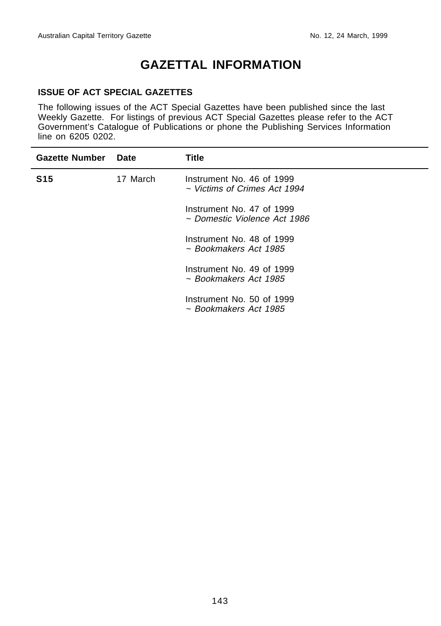$\overline{\phantom{0}}$ 

# **GAZETTAL INFORMATION**

#### **ISSUE OF ACT SPECIAL GAZETTES**

The following issues of the ACT Special Gazettes have been published since the last Weekly Gazette. For listings of previous ACT Special Gazettes please refer to the ACT Government's Catalogue of Publications or phone the Publishing Services Information line on 6205 0202.

| <b>Gazette Number</b> | Date     | Title                                                     |
|-----------------------|----------|-----------------------------------------------------------|
| <b>S15</b>            | 17 March | Instrument No. 46 of 1999<br>~ Victims of Crimes Act 1994 |
|                       |          | Instrument No. 47 of 1999<br>~ Domestic Violence Act 1986 |
|                       |          | Instrument No. 48 of 1999<br>~ Bookmakers Act 1985        |
|                       |          | Instrument No. 49 of 1999<br>~ Bookmakers Act 1985        |
|                       |          | Instrument No. 50 of 1999<br>~ Bookmakers Act 1985        |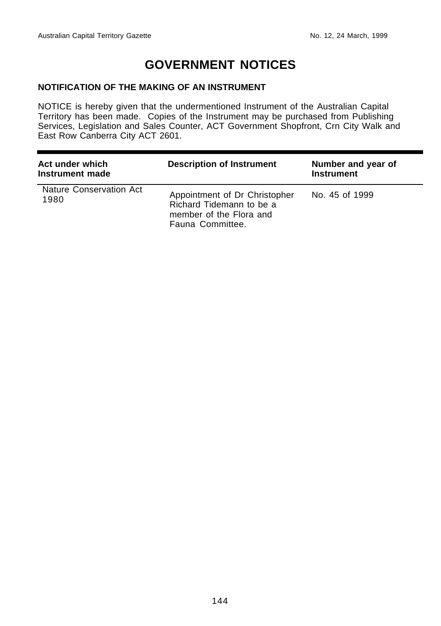# **GOVERNMENT NOTICES**

## **NOTIFICATION OF THE MAKING OF AN INSTRUMENT**

NOTICE is hereby given that the undermentioned Instrument of the Australian Capital Territory has been made. Copies of the Instrument may be purchased from Publishing Services, Legislation and Sales Counter, ACT Government Shopfront, Crn City Walk and East Row Canberra City ACT 2601.

| Act under which<br>Instrument made | <b>Description of Instrument</b>                                                                         | Number and year of<br><b>Instrument</b> |
|------------------------------------|----------------------------------------------------------------------------------------------------------|-----------------------------------------|
| Nature Conservation Act<br>1980    | Appointment of Dr Christopher<br>Richard Tidemann to be a<br>member of the Flora and<br>Fauna Committee. | No. 45 of 1999                          |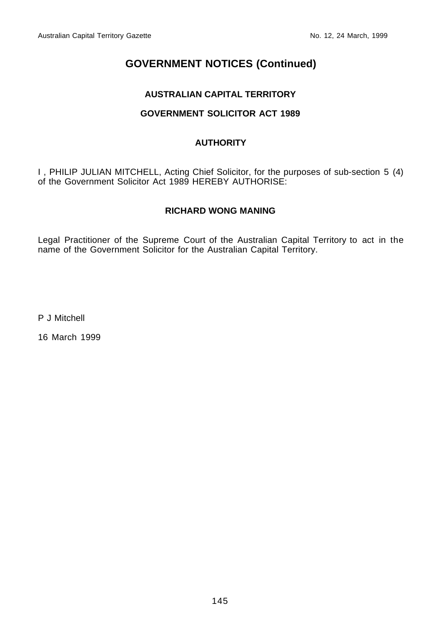## **AUSTRALIAN CAPITAL TERRITORY**

## **GOVERNMENT SOLICITOR ACT 1989**

## **AUTHORITY**

I , PHILIP JULIAN MITCHELL, Acting Chief Solicitor, for the purposes of sub-section 5 (4) of the Government Solicitor Act 1989 HEREBY AUTHORISE:

## **RICHARD WONG MANING**

Legal Practitioner of the Supreme Court of the Australian Capital Territory to act in the name of the Government Solicitor for the Australian Capital Territory.

P J Mitchell

16 March 1999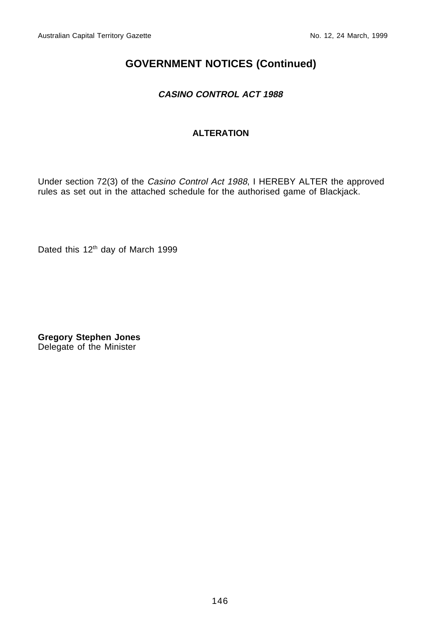## **CASINO CONTROL ACT 1988**

## **ALTERATION**

Under section 72(3) of the Casino Control Act 1988, I HEREBY ALTER the approved rules as set out in the attached schedule for the authorised game of Blackjack.

Dated this 12<sup>th</sup> day of March 1999

**Gregory Stephen Jones** Delegate of the Minister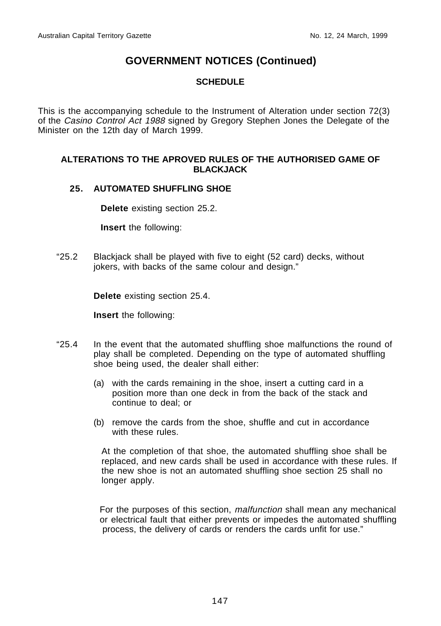## **SCHEDULE**

This is the accompanying schedule to the Instrument of Alteration under section 72(3) of the Casino Control Act 1988 signed by Gregory Stephen Jones the Delegate of the Minister on the 12th day of March 1999.

#### **ALTERATIONS TO THE APROVED RULES OF THE AUTHORISED GAME OF BLACKJACK**

#### **25. AUTOMATED SHUFFLING SHOE**

**Delete** existing section 25.2.

**Insert** the following:

"25.2 Blackjack shall be played with five to eight (52 card) decks, without jokers, with backs of the same colour and design."

**Delete** existing section 25.4.

**Insert** the following:

- "25.4 In the event that the automated shuffling shoe malfunctions the round of play shall be completed. Depending on the type of automated shuffling shoe being used, the dealer shall either:
	- (a) with the cards remaining in the shoe, insert a cutting card in a position more than one deck in from the back of the stack and continue to deal; or
	- (b) remove the cards from the shoe, shuffle and cut in accordance with these rules.

At the completion of that shoe, the automated shuffling shoe shall be replaced, and new cards shall be used in accordance with these rules. If the new shoe is not an automated shuffling shoe section 25 shall no longer apply.

For the purposes of this section, malfunction shall mean any mechanical or electrical fault that either prevents or impedes the automated shuffling process, the delivery of cards or renders the cards unfit for use."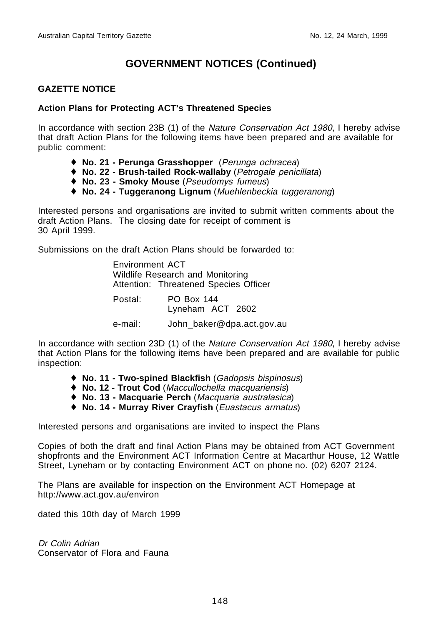#### **GAZETTE NOTICE**

#### **Action Plans for Protecting ACT's Threatened Species**

In accordance with section 23B (1) of the Nature Conservation Act 1980, I hereby advise that draft Action Plans for the following items have been prepared and are available for public comment:

- ♦ **No. 21 Perunga Grasshopper** (Perunga ochracea)
- ♦ **No. 22 Brush-tailed Rock-wallaby** (Petrogale penicillata)
- ♦ **No. 23 Smoky Mouse** (Pseudomys fumeus)
- ♦ **No. 24 Tuggeranong Lignum** (Muehlenbeckia tuggeranong)

Interested persons and organisations are invited to submit written comments about the draft Action Plans. The closing date for receipt of comment is 30 April 1999.

Submissions on the draft Action Plans should be forwarded to:

 Environment ACT Wildlife Research and Monitoring Attention: Threatened Species Officer Postal: PO Box 144

Lyneham ACT 2602

e-mail: John baker@dpa.act.gov.au

In accordance with section 23D (1) of the Nature Conservation Act 1980, I hereby advise that Action Plans for the following items have been prepared and are available for public inspection:

- ♦ **No. 11 Two-spined Blackfish** (Gadopsis bispinosus)
- ♦ **No. 12 Trout Cod** (Maccullochella macquariensis)
- ♦ **No. 13 Macquarie Perch** (Macquaria australasica)
- ♦ **No. 14 Murray River Crayfish** (Euastacus armatus)

Interested persons and organisations are invited to inspect the Plans

Copies of both the draft and final Action Plans may be obtained from ACT Government shopfronts and the Environment ACT Information Centre at Macarthur House, 12 Wattle Street, Lyneham or by contacting Environment ACT on phone no. (02) 6207 2124.

The Plans are available for inspection on the Environment ACT Homepage at http://www.act.gov.au/environ

dated this 10th day of March 1999

Dr Colin Adrian Conservator of Flora and Fauna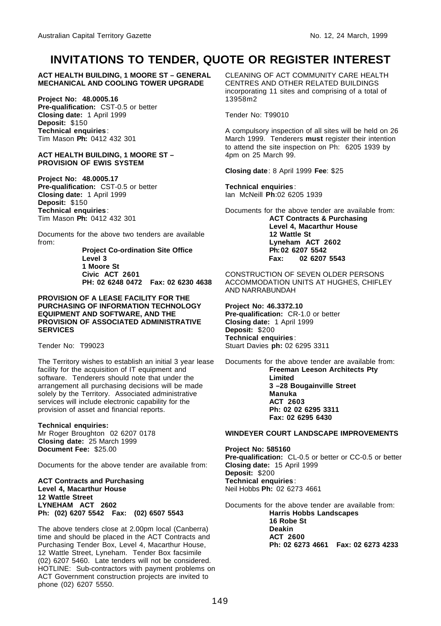## **INVITATIONS TO TENDER, QUOTE OR REGISTER INTEREST**

**ACT HEALTH BUILDING, 1 MOORE ST – GENERAL MECHANICAL AND COOLING TOWER UPGRADE**

**Project No: 48.0005.16 Pre-qualification:** CST-0.5 or better **Closing date:** 1 April 1999 **Deposit:** \$150 **Technical enquiries**: Tim Mason **Ph:** 0412 432 301

#### **ACT HEALTH BUILDING, 1 MOORE ST – PROVISION OF EWIS SYSTEM**

**Project No: 48.0005.17 Pre-qualification:** CST-0.5 or better **Closing date:** 1 April 1999 **Deposit:** \$150 **Technical enquiries**: Tim Mason **Ph:** 0412 432 301

Documents for the above two tenders are available from:

> **Project Co-ordination Site Office Level 3 1 Moore St Civic ACT 2601 PH: 02 6248 0472 Fax: 02 6230 4638**

**PROVISION OF A LEASE FACILITY FOR THE PURCHASING OF INFORMATION TECHNOLOGY EQUIPMENT AND SOFTWARE, AND THE PROVISION OF ASSOCIATED ADMINISTRATIVE SERVICES**

Tender No: T99023

The Territory wishes to establish an initial 3 year lease facility for the acquisition of IT equipment and software. Tenderers should note that under the arrangement all purchasing decisions will be made solely by the Territory. Associated administrative services will include electronic capability for the provision of asset and financial reports.

#### **Technical enquiries:**

Mr Roger Broughton 02 6207 0178 **Closing date:** 25 March 1999 **Document Fee:** \$25.00

Documents for the above tender are available from:

**ACT Contracts and Purchasing Level 4, Macarthur House 12 Wattle Street LYNEHAM ACT 2602 Ph: (02) 6207 5542 Fax: (02) 6507 5543**

The above tenders close at 2.00pm local (Canberra) time and should be placed in the ACT Contracts and Purchasing Tender Box, Level 4, Macarthur House, 12 Wattle Street, Lyneham. Tender Box facsimile (02) 6207 5460. Late tenders will not be considered. HOTLINE: Sub-contractors with payment problems on ACT Government construction projects are invited to phone (02) 6207 5550.

CLEANING OF ACT COMMUNITY CARE HEALTH CENTRES AND OTHER RELATED BUILDINGS incorporating 11 sites and comprising of a total of 13958m2

Tender No: T99010

A compulsory inspection of all sites will be held on 26 March 1999. Tenderers **must** register their intention to attend the site inspection on Ph: 6205 1939 by 4pm on 25 March 99.

**Closing date**: 8 April 1999 **Fee**: \$25

**Technical enquiries**: Ian McNeill **Ph**:02 6205 1939

Documents for the above tender are available from: **ACT Contracts & Purchasing Level 4, Macarthur House 12 Wattle St Lyneham ACT 2602 Ph:02 6207 5542 Fax: 02 6207 5543**

CONSTRUCTION OF SEVEN OLDER PERSONS ACCOMMODATION UNITS AT HUGHES, CHIFLEY AND NARRABUNDAH

**Project No: 46.3372.10 Pre-qualification:** CR-1.0 or better **Closing date:** 1 April 1999 **Deposit:** \$200 **Technical enquiries**: Stuart Davies **ph:** 02 6295 3311

Documents for the above tender are available from: **Freeman Leeson Architects Pty Limited 3 –28 Bougainville Street Manuka ACT 2603 Ph: 02 02 6295 3311 Fax: 02 6295 6430**

#### **WINDEYER COURT LANDSCAPE IMPROVEMENTS**

**Project No: 585160 Pre-qualification:** CL-0.5 or better or CC-0.5 or better **Closing date:** 15 April 1999 **Deposit:** \$200 **Technical enquiries**: Neil Hobbs **Ph:** 02 6273 4661

Documents for the above tender are available from: **Harris Hobbs Landscapes 16 Robe St Deakin ACT 2600 Ph: 02 6273 4661 Fax: 02 6273 4233**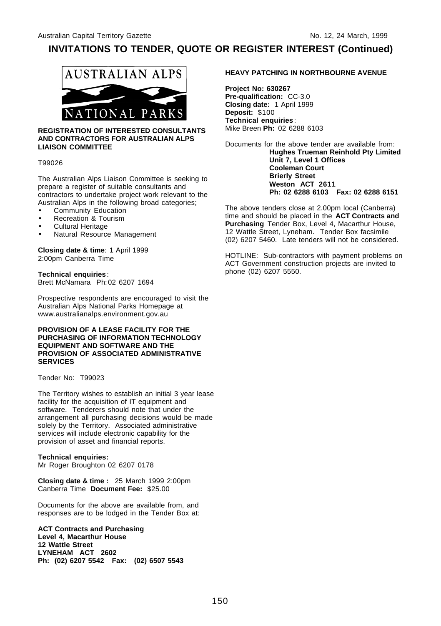## **INVITATIONS TO TENDER, QUOTE OR REGISTER INTEREST (Continued)**



#### **REGISTRATION OF INTERESTED CONSULTANTS AND CONTRACTORS FOR AUSTRALIAN ALPS LIAISON COMMITTEE**

#### T99026

The Australian Alps Liaison Committee is seeking to prepare a register of suitable consultants and contractors to undertake project work relevant to the Australian Alps in the following broad categories;

- Community Education
- Recreation & Tourism
- Cultural Heritage
- Natural Resource Management

**Closing date & time**: 1 April 1999 2:00pm Canberra Time

**Technical enquiries**: Brett McNamara Ph:02 6207 1694

Prospective respondents are encouraged to visit the Australian Alps National Parks Homepage at www.australianalps.environment.gov.au

#### **PROVISION OF A LEASE FACILITY FOR THE PURCHASING OF INFORMATION TECHNOLOGY EQUIPMENT AND SOFTWARE AND THE PROVISION OF ASSOCIATED ADMINISTRATIVE SERVICES**

Tender No: T99023

The Territory wishes to establish an initial 3 year lease facility for the acquisition of IT equipment and software. Tenderers should note that under the arrangement all purchasing decisions would be made solely by the Territory. Associated administrative services will include electronic capability for the provision of asset and financial reports.

#### **Technical enquiries:** Mr Roger Broughton 02 6207 0178

**Closing date & time :** 25 March 1999 2:00pm Canberra Time **Document Fee:** \$25.00

Documents for the above are available from, and responses are to be lodged in the Tender Box at:

**ACT Contracts and Purchasing Level 4, Macarthur House 12 Wattle Street LYNEHAM ACT 2602 Ph: (02) 6207 5542 Fax: (02) 6507 5543**

#### **HEAVY PATCHING IN NORTHBOURNE AVENUE**

**Project No: 630267 Pre-qualification:** CC-3.0 **Closing date:** 1 April 1999 **Deposit:** \$100 **Technical enquiries**: Mike Breen **Ph:** 02 6288 6103

Documents for the above tender are available from: **Hughes Trueman Reinhold Pty Limited Unit 7, Level 1 Offices Cooleman Court Brierly Street Weston ACT 2611 Ph: 02 6288 6103 Fax: 02 6288 6151**

The above tenders close at 2.00pm local (Canberra) time and should be placed in the **ACT Contracts and** Purchasing Tender Box, Level 4, Macarthur House, 12 Wattle Street, Lyneham. Tender Box facsimile (02) 6207 5460. Late tenders will not be considered.

HOTLINE: Sub-contractors with payment problems on ACT Government construction projects are invited to phone (02) 6207 5550.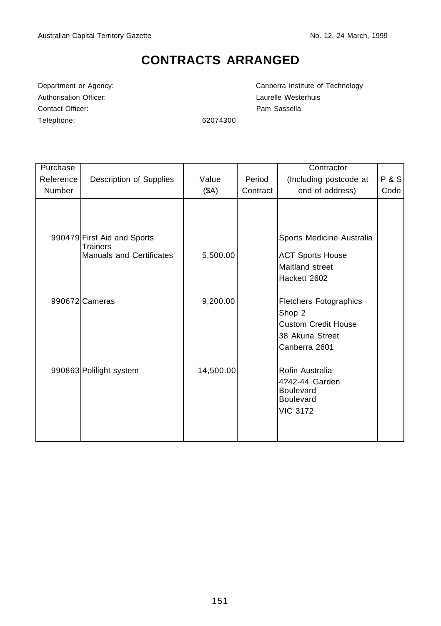# **CONTRACTS ARRANGED**

Authorisation Officer: Capacity Channel Muslim Laurelle Westerhuis Contact Officer: Pam Sassella Telephone: 62074300

Department or Agency: Canberra Institute of Technology

| Purchase  |                                                                                   |           |          | Contractor                                                                                                |       |
|-----------|-----------------------------------------------------------------------------------|-----------|----------|-----------------------------------------------------------------------------------------------------------|-------|
| Reference | Description of Supplies                                                           | Value     | Period   | (Including postcode at                                                                                    | P & S |
| Number    |                                                                                   | (SA)      | Contract | end of address)                                                                                           | Code  |
|           | 990479 First Aid and Sports<br><b>Trainers</b><br><b>Manuals and Certificates</b> | 5,500.00  |          | Sports Medicine Australia<br><b>ACT Sports House</b><br>Maitland street<br>Hackett 2602                   |       |
|           | 990672 Cameras                                                                    | 9,200.00  |          | <b>Fletchers Fotographics</b><br>Shop 2<br><b>Custom Credit House</b><br>38 Akuna Street<br>Canberra 2601 |       |
|           | 990863 Polilight system                                                           | 14,500.00 |          | Rofin Australia<br>4?42-44 Garden<br><b>Boulevard</b><br><b>Boulevard</b><br><b>VIC 3172</b>              |       |